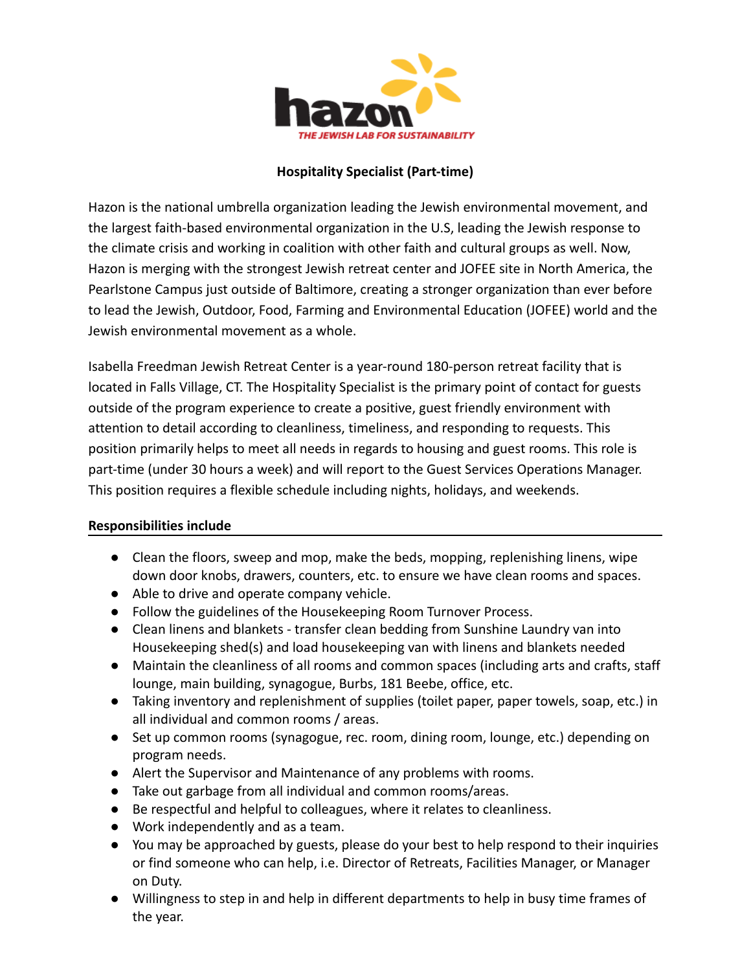

# **Hospitality Specialist (Part-time)**

Hazon is the national umbrella organization leading the Jewish environmental movement, and the largest faith-based environmental organization in the U.S, leading the Jewish response to the climate crisis and working in coalition with other faith and cultural groups as well. Now, Hazon is merging with the strongest Jewish retreat center and JOFEE site in North America, the Pearlstone Campus just outside of Baltimore, creating a stronger organization than ever before to lead the [Jewish, Outdoor, Food, Farming and Environmental](https://default.salsalabs.org/Tdc775d19-276c-4ea0-a577-28c1c5c8be08/258d03b5-762f-4cbd-b3b8-51971d31a8de) Education (JOFEE) world and the Jewish environmental movement as a whole.

Isabella Freedman Jewish Retreat Center is a year-round 180-person retreat facility that is located in Falls Village, CT. The Hospitality Specialist is the primary point of contact for guests outside of the program experience to create a positive, guest friendly environment with attention to detail according to cleanliness, timeliness, and responding to requests. This position primarily helps to meet all needs in regards to housing and guest rooms. This role is part-time (under 30 hours a week) and will report to the Guest Services Operations Manager. This position requires a flexible schedule including nights, holidays, and weekends.

# **Responsibilities include**

- Clean the floors, sweep and mop, make the beds, mopping, replenishing linens, wipe down door knobs, drawers, counters, etc. to ensure we have clean rooms and spaces.
- Able to drive and operate company vehicle.
- Follow the guidelines of the Housekeeping Room Turnover Process.
- Clean linens and blankets transfer clean bedding from Sunshine Laundry van into Housekeeping shed(s) and load housekeeping van with linens and blankets needed
- Maintain the cleanliness of all rooms and common spaces (including arts and crafts, staff lounge, main building, synagogue, Burbs, 181 Beebe, office, etc.
- Taking inventory and replenishment of supplies (toilet paper, paper towels, soap, etc.) in all individual and common rooms / areas.
- Set up common rooms (synagogue, rec. room, dining room, lounge, etc.) depending on program needs.
- Alert the Supervisor and Maintenance of any problems with rooms.
- Take out garbage from all individual and common rooms/areas.
- Be respectful and helpful to colleagues, where it relates to cleanliness.
- Work independently and as a team.
- You may be approached by guests, please do your best to help respond to their inquiries or find someone who can help, i.e. Director of Retreats, Facilities Manager, or Manager on Duty.
- Willingness to step in and help in different departments to help in busy time frames of the year.